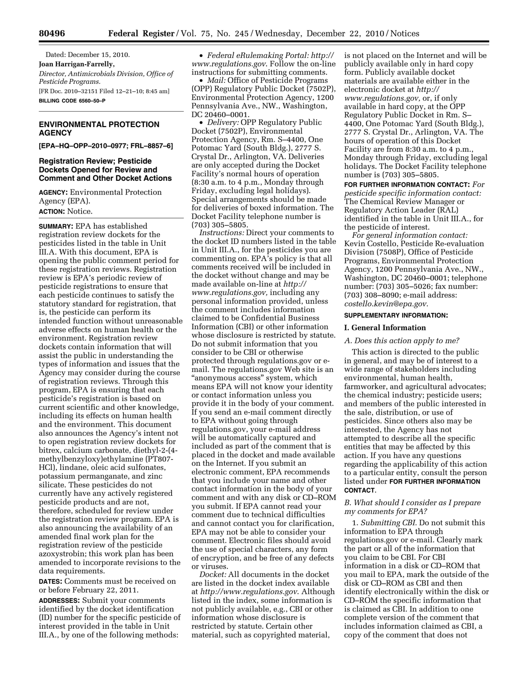

Dated: December 15, 2010. **Joan Harrigan-Farrelly,**  *Director, Antimicrobials Division, Office of Pesticide Programs.*  [FR Doc. 2010–32151 Filed 12–21–10; 8:45 am] **BILLING CODE 6560–50–P** 

# **ENVIRONMENTAL PROTECTION AGENCY**

**[EPA–HQ–OPP–2010–0977; FRL–8857–6]** 

### **Registration Review; Pesticide Dockets Opened for Review and Comment and Other Docket Actions**

**AGENCY:** Environmental Protection Agency (EPA).

**ACTION:** Notice.

**SUMMARY:** EPA has established registration review dockets for the pesticides listed in the table in Unit III.A. With this document, EPA is opening the public comment period for these registration reviews. Registration review is EPA's periodic review of pesticide registrations to ensure that each pesticide continues to satisfy the statutory standard for registration, that is, the pesticide can perform its intended function without unreasonable adverse effects on human health or the environment. Registration review dockets contain information that will assist the public in understanding the types of information and issues that the Agency may consider during the course of registration reviews. Through this program, EPA is ensuring that each pesticide's registration is based on current scientific and other knowledge, including its effects on human health and the environment. This document also announces the Agency's intent not to open registration review dockets for bitrex, calcium carbonate, diethyl-2-(4 methylbenzyloxy)ethylamine (PT807- HCl), lindane, oleic acid sulfonates, potassium permanganate, and zinc silicate. These pesticides do not currently have any actively registered pesticide products and are not, therefore, scheduled for review under the registration review program. EPA is also announcing the availability of an amended final work plan for the registration review of the pesticide azoxystrobin; this work plan has been amended to incorporate revisions to the data requirements.

**DATES:** Comments must be received on or before February 22, 2011.

**ADDRESSES:** Submit your comments identified by the docket identification (ID) number for the specific pesticide of interest provided in the table in Unit III.A., by one of the following methods:

• *Federal eRulemaking Portal: [http://](http://www.regulations.gov)  [www.regulations.gov](http://www.regulations.gov)*. Follow the on-line instructions for submitting comments.

• *Mail:* Office of Pesticide Programs (OPP) Regulatory Public Docket (7502P), Environmental Protection Agency, 1200 Pennsylvania Ave., NW., Washington, DC 20460–0001.

• *Delivery:* OPP Regulatory Public Docket (7502P), Environmental Protection Agency, Rm. S–4400, One Potomac Yard (South Bldg.), 2777 S. Crystal Dr., Arlington, VA. Deliveries are only accepted during the Docket Facility's normal hours of operation (8:30 a.m. to 4 p.m., Monday through Friday, excluding legal holidays). Special arrangements should be made for deliveries of boxed information. The Docket Facility telephone number is (703) 305–5805.

*Instructions:* Direct your comments to the docket ID numbers listed in the table in Unit III.A., for the pesticides you are commenting on. EPA's policy is that all comments received will be included in the docket without change and may be made available on-line at *[http://](http://www.regulations.gov)  [www.regulations.gov,](http://www.regulations.gov)* including any personal information provided, unless the comment includes information claimed to be Confidential Business Information (CBI) or other information whose disclosure is restricted by statute. Do not submit information that you consider to be CBI or otherwise protected through regulations.gov or email. The regulations.gov Web site is an "anonymous access" system, which means EPA will not know your identity or contact information unless you provide it in the body of your comment. If you send an e-mail comment directly to EPA without going through regulations.gov, your e-mail address will be automatically captured and included as part of the comment that is placed in the docket and made available on the Internet. If you submit an electronic comment, EPA recommends that you include your name and other contact information in the body of your comment and with any disk or CD–ROM you submit. If EPA cannot read your comment due to technical difficulties and cannot contact you for clarification, EPA may not be able to consider your comment. Electronic files should avoid the use of special characters, any form of encryption, and be free of any defects or viruses.

*Docket:* All documents in the docket are listed in the docket index available at *<http://www.regulations.gov>*. Although listed in the index, some information is not publicly available, e.g., CBI or other information whose disclosure is restricted by statute. Certain other material, such as copyrighted material,

is not placed on the Internet and will be publicly available only in hard copy form. Publicly available docket materials are available either in the electronic docket at *[http://](http://www.regulations.gov)  [www.regulations.gov,](http://www.regulations.gov)* or, if only available in hard copy, at the OPP Regulatory Public Docket in Rm. S– 4400, One Potomac Yard (South Bldg.), 2777 S. Crystal Dr., Arlington, VA. The hours of operation of this Docket Facility are from 8:30 a.m. to 4 p.m., Monday through Friday, excluding legal holidays. The Docket Facility telephone number is (703) 305–5805.

**FOR FURTHER INFORMATION CONTACT:** *For pesticide specific information contact:*  The Chemical Review Manager or Regulatory Action Leader (RAL) identified in the table in Unit III.A., for the pesticide of interest.

*For general information contact:*  Kevin Costello, Pesticide Re-evaluation Division (7508P), Office of Pesticide Programs, Environmental Protection Agency, 1200 Pennsylvania Ave., NW., Washington, DC 20460–0001; telephone number: (703) 305–5026; fax number: (703) 308–8090; e-mail address: *[costello.kevin@epa.gov.](mailto:costello.kevin@epa.gov)* 

#### **SUPPLEMENTARY INFORMATION:**

#### **I. General Information**

#### *A. Does this action apply to me?*

This action is directed to the public in general, and may be of interest to a wide range of stakeholders including environmental, human health, farmworker, and agricultural advocates; the chemical industry; pesticide users; and members of the public interested in the sale, distribution, or use of pesticides. Since others also may be interested, the Agency has not attempted to describe all the specific entities that may be affected by this action. If you have any questions regarding the applicability of this action to a particular entity, consult the person listed under **FOR FURTHER INFORMATION CONTACT**.

### *B. What should I consider as I prepare my comments for EPA?*

1. *Submitting CBI.* Do not submit this information to EPA through regulations.gov or e-mail. Clearly mark the part or all of the information that you claim to be CBI. For CBI information in a disk or CD–ROM that you mail to EPA, mark the outside of the disk or CD–ROM as CBI and then identify electronically within the disk or CD–ROM the specific information that is claimed as CBI. In addition to one complete version of the comment that includes information claimed as CBI, a copy of the comment that does not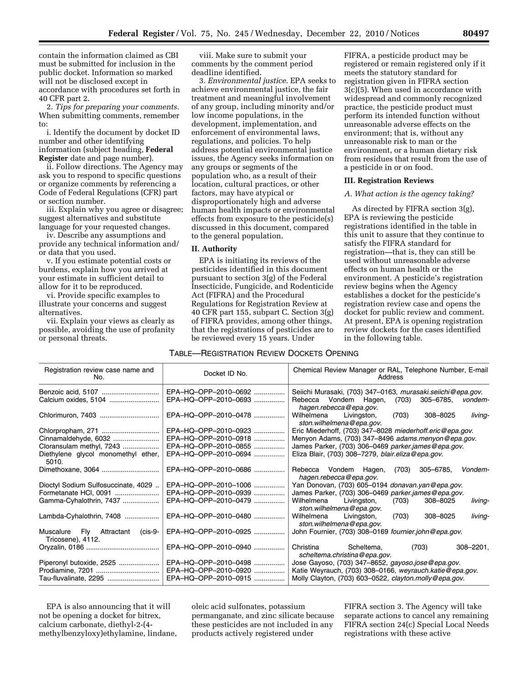contain the information claimed as CBI must be submitted for inclusion in the public docket. Information so marked will not be disclosed except in accordance with procedures set forth in 40 CFR part 2.

2. *Tips for preparing your comments.*  When submitting comments, remember to:

i. Identify the document by docket ID number and other identifying information (subject heading, **Federal Register** date and page number).

ii. Follow directions. The Agency may ask you to respond to specific questions or organize comments by referencing a Code of Federal Regulations (CFR) part or section number.

iii. Explain why you agree or disagree; suggest alternatives and substitute language for your requested changes.

iv. Describe any assumptions and provide any technical information and/ or data that you used.

v. If you estimate potential costs or burdens, explain how you arrived at your estimate in sufficient detail to allow for it to be reproduced.

vi. Provide specific examples to illustrate your concerns and suggest alternatives.

vii. Explain your views as clearly as possible, avoiding the use of profanity or personal threats.

viii. Make sure to submit your comments by the comment period deadline identified.

3. *Environmental justice.* EPA seeks to achieve environmental justice, the fair treatment and meaningful involvement of any group, including minority and/or low income populations, in the development, implementation, and enforcement of environmental laws, regulations, and policies. To help address potential environmental justice issues, the Agency seeks information on any groups or segments of the population who, as a result of their location, cultural practices, or other factors, may have atypical or disproportionately high and adverse human health impacts or environmental effects from exposure to the pesticide(s) discussed in this document, compared to the general population.

### **II. Authority**

EPA is initiating its reviews of the pesticides identified in this document pursuant to section 3(g) of the Federal Insecticide, Fungicide, and Rodenticide Act (FIFRA) and the Procedural Regulations for Registration Review at 40 CFR part 155, subpart C. Section 3(g) of FIFRA provides, among other things, that the registrations of pesticides are to be reviewed every 15 years. Under

TABLE—REGISTRATION REVIEW DOCKETS OPENING

Registration review case name and<br>No Docket ID No. **Chemical Review Manager or RAL, Telephone Number**, E-mail Address Benzoic acid, 5107 .............................. EPA–HQ–OPP–2010–0692 ................ Seiichi Murasaki, (703) 347–0163, *[murasaki.seiichi@epa.gov](mailto:murasaki.seiichi@epa.gov)*. Calcium oxides, 5104 .......................... EPA–HQ–OPP–2010–0693 ................ Rebecca Vondem Hagen, (703) 305–6785, *[vondem](mailto:vondem-hagen.rebecca@epa.gov)[hagen.rebecca@epa.gov](mailto:vondem-hagen.rebecca@epa.gov)*. Chlorimuron, 7403 ............................... EPA–HQ–OPP–2010–0478 ................ Wilhelmena Livingston, (703) 308–8025 *[living](mailto:living-ston.wilhelmena@epa.gov)[ston.wilhelmena@epa.gov](mailto:living-ston.wilhelmena@epa.gov)*. Chlorpropham, 271 .............................. EPA–HQ–OPP–2010–0923 ................ Eric Miederhoff, (703) 347–8028 *[miederhoff.eric@epa.gov](mailto:miederhoff.eric@epa.gov)*. Cinnamaldehyde, 6032 ........................ EPA–HQ–OPP–2010–0918 ................ Menyon Adams, (703) 347–8496 *[adams.menyon@epa.gov](mailto:adams.menyon@epa.gov)*. Cloransulam methyl, 7243 ................... EPA–HQ–OPP–2010–0855 ................ James Parker, (703) 306–0469 *[parker.james@epa.gov](mailto:parker.james@epa.gov)*. Diethylene glycol monomethyl ether, 5010.<br>Dimethoxane, 3064 ................................ Eliza Blair, (703) 308–7279, *[blair.eliza@epa.gov](mailto:blair.eliza@epa.gov)*. EPA-HQ-OPP-2010-0686 ................. Rebecca Vondem Hagen, (703) 305-6785, [Vondem](mailto:Vondem-hagen.rebecca@epa.gov)*[hagen.rebecca@epa.gov](mailto:Vondem-hagen.rebecca@epa.gov)*. Dioctyl Sodium Sulfosuccinate, 4029 .. EPA–HQ–OPP–2010–1006 ................ Yan Donovan, (703) 605–0194 *[donavan.yan@epa.gov](mailto:donavan.yan@epa.gov)*. Formetanate HCl, 0091 ....................... EPA–HQ–OPP–2010–0939 ................ James Parker, (703) 306–0469 *[parker.james@epa.gov](mailto:parker.james@epa.gov)*. Gamma-Cyhalothrin, 7437 ................... EPA–HQ–OPP–2010–0479 ................ Wilhelmena Livingston, (703) 308–8025 *[living](mailto:living-ston.wilhelmena@epa.gov)[ston.wilhelmena@epa.gov](mailto:living-ston.wilhelmena@epa.gov)*. Lambda-Cyhalothrin, 7408 .................. EPA–HQ–OPP–2010–0480 ................ Wilhelmena Livingston, (703) 308–8025 *[living](mailto:living-ston.wilhelmena@epa.gov)[ston.wilhelmena@epa.gov](mailto:living-ston.wilhelmena@epa.gov)*. Muscalure Fly Attractant (cis-9- Tricosene), 4112. EPA–HQ–OPP–2010–0925 ................ John Fournier, (703) 308–0169 *[fournier.john@epa.gov](mailto:fournier.john@epa.gov)*. Oryzalin, 0186 ...................................... EPA–HQ–OPP–2010–0940 ................ Christina Scheltema, (703) 308–2201, *[scheltema.christina@epa.gov](mailto:scheltema.christina@epa.gov)*. Piperonyl butoxide, 2525 ..................... EPA–HQ–OPP–2010–0498 ................ Jose Gayoso, (703) 347–8652, *[gayoso.jose@epa.gov](mailto:gayoso.jose@epa.gov)*. Prodiamine, 7201 ................................. EPA–HQ–OPP–2010–0920 ................ Katie Weyrauch, (703) 308–0166, *[weyrauch.katie@epa.gov](mailto:weyrauch.katie@epa.gov)*. Tau-fluvalinate, 2295 ........................... EPA–HQ–OPP–2010–0915 ................ Molly Clayton, (703) 603–0522, *[clayton.molly@epa.gov](mailto:clayton.molly@epa.gov)*.

EPA is also announcing that it will not be opening a docket for bitrex, calcium carbonate, diethyl-2-(4 methylbenzyloxy)ethylamine, lindane, oleic acid sulfonates, potassium permanganate, and zinc silicate because these pesticides are not included in any products actively registered under

FIFRA section 3. The Agency will take separate actions to cancel any remaining FIFRA section 24(c) Special Local Needs registrations with these active

FIFRA, a pesticide product may be registered or remain registered only if it meets the statutory standard for registration given in FIFRA section 3(c)(5). When used in accordance with widespread and commonly recognized practice, the pesticide product must perform its intended function without unreasonable adverse effects on the environment; that is, without any unreasonable risk to man or the environment, or a human dietary risk from residues that result from the use of a pesticide in or on food.

### **III. Registration Reviews**

#### *A. What action is the agency taking?*

As directed by FIFRA section 3(g), EPA is reviewing the pesticide registrations identified in the table in this unit to assure that they continue to satisfy the FIFRA standard for registration—that is, they can still be used without unreasonable adverse effects on human health or the environment. A pesticide's registration review begins when the Agency establishes a docket for the pesticide's registration review case and opens the docket for public review and comment. At present, EPA is opening registration review dockets for the cases identified in the following table.